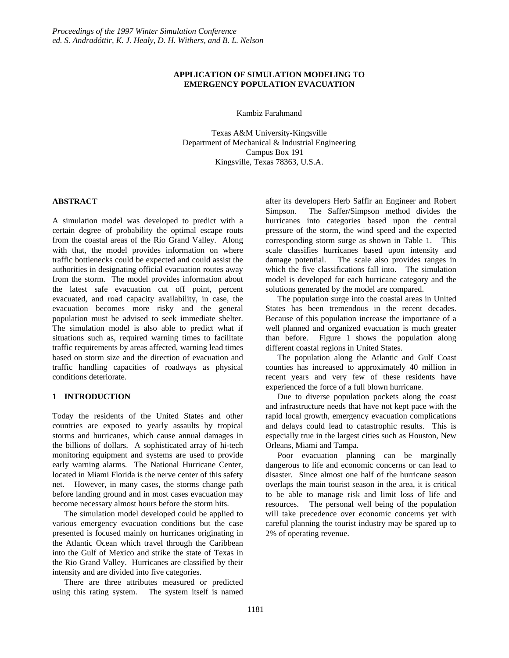#### **APPLICATION OF SIMULATION MODELING TO EMERGENCY POPULATION EVACUATION**

Kambiz Farahmand

Texas A&M University-Kingsville Department of Mechanical & Industrial Engineering Campus Box 191 Kingsville, Texas 78363, U.S.A.

#### **ABSTRACT**

A simulation model was developed to predict with a certain degree of probability the optimal escape routs from the coastal areas of the Rio Grand Valley. Along with that, the model provides information on where traffic bottlenecks could be expected and could assist the authorities in designating official evacuation routes away from the storm. The model provides information about the latest safe evacuation cut off point, percent evacuated, and road capacity availability, in case, the evacuation becomes more risky and the general population must be advised to seek immediate shelter. The simulation model is also able to predict what if situations such as, required warning times to facilitate traffic requirements by areas affected, warning lead times based on storm size and the direction of evacuation and traffic handling capacities of roadways as physical conditions deteriorate.

# **1 INTRODUCTION**

Today the residents of the United States and other countries are exposed to yearly assaults by tropical storms and hurricanes, which cause annual damages in the billions of dollars. A sophisticated array of hi-tech monitoring equipment and systems are used to provide early warning alarms. The National Hurricane Center, located in Miami Florida is the nerve center of this safety net. However, in many cases, the storms change path before landing ground and in most cases evacuation may become necessary almost hours before the storm hits.

The simulation model developed could be applied to various emergency evacuation conditions but the case presented is focused mainly on hurricanes originating in the Atlantic Ocean which travel through the Caribbean into the Gulf of Mexico and strike the state of Texas in the Rio Grand Valley. Hurricanes are classified by their intensity and are divided into five categories.

There are three attributes measured or predicted using this rating system. The system itself is named

after its developers Herb Saffir an Engineer and Robert Simpson. The Saffer/Simpson method divides the hurricanes into categories based upon the central pressure of the storm, the wind speed and the expected corresponding storm surge as shown in Table 1. This scale classifies hurricanes based upon intensity and damage potential. The scale also provides ranges in which the five classifications fall into. The simulation model is developed for each hurricane category and the solutions generated by the model are compared.

The population surge into the coastal areas in United States has been tremendous in the recent decades. Because of this population increase the importance of a well planned and organized evacuation is much greater than before. Figure 1 shows the population along different coastal regions in United States.

The population along the Atlantic and Gulf Coast counties has increased to approximately 40 million in recent years and very few of these residents have experienced the force of a full blown hurricane.

Due to diverse population pockets along the coast and infrastructure needs that have not kept pace with the rapid local growth, emergency evacuation complications and delays could lead to catastrophic results. This is especially true in the largest cities such as Houston, New Orleans, Miami and Tampa.

Poor evacuation planning can be marginally dangerous to life and economic concerns or can lead to disaster. Since almost one half of the hurricane season overlaps the main tourist season in the area, it is critical to be able to manage risk and limit loss of life and resources. The personal well being of the population will take precedence over economic concerns yet with careful planning the tourist industry may be spared up to 2% of operating revenue.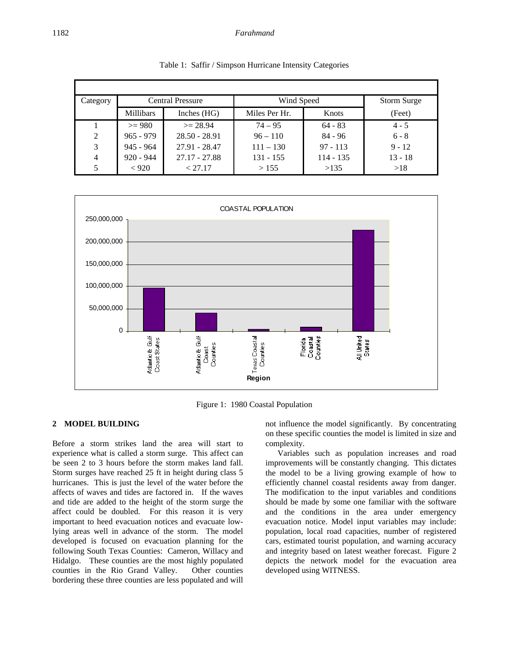| Category | <b>Central Pressure</b> |                 | Wind Speed    | Storm Surge |           |
|----------|-------------------------|-----------------|---------------|-------------|-----------|
|          | <b>Millibars</b>        | Inches $(HG)$   | Miles Per Hr. | Knots       | (Feet)    |
|          | $>= 980$                | $>= 28.94$      | $74 - 95$     | $64 - 83$   | $4 - 5$   |
| 2        | $965 - 979$             | $28.50 - 28.91$ | $96 - 110$    | $84 - 96$   | $6 - 8$   |
| 3        | $945 - 964$             | 27.91 - 28.47   | $111 - 130$   | $97 - 113$  | $9 - 12$  |
| 4        | $920 - 944$             | 27.17 - 27.88   | 131 - 155     | 114 - 135   | $13 - 18$ |
| 5        | < 920                   | < 27.17         | >155          | >135        | >18       |

Table 1: Saffir / Simpson Hurricane Intensity Categories



Figure 1: 1980 Coastal Population

### **2 MODEL BUILDING**

Before a storm strikes land the area will start to experience what is called a storm surge. This affect can be seen 2 to 3 hours before the storm makes land fall. Storm surges have reached 25 ft in height during class 5 hurricanes. This is just the level of the water before the affects of waves and tides are factored in. If the waves and tide are added to the height of the storm surge the affect could be doubled. For this reason it is very important to heed evacuation notices and evacuate lowlying areas well in advance of the storm. The model developed is focused on evacuation planning for the following South Texas Counties: Cameron, Willacy and Hidalgo. These counties are the most highly populated counties in the Rio Grand Valley. Other counties bordering these three counties are less populated and will not influence the model significantly. By concentrating on these specific counties the model is limited in size and complexity.

Variables such as population increases and road improvements will be constantly changing. This dictates the model to be a living growing example of how to efficiently channel coastal residents away from danger. The modification to the input variables and conditions should be made by some one familiar with the software and the conditions in the area under emergency evacuation notice. Model input variables may include: population, local road capacities, number of registered cars, estimated tourist population, and warning accuracy and integrity based on latest weather forecast. Figure 2 depicts the network model for the evacuation area developed using WITNESS.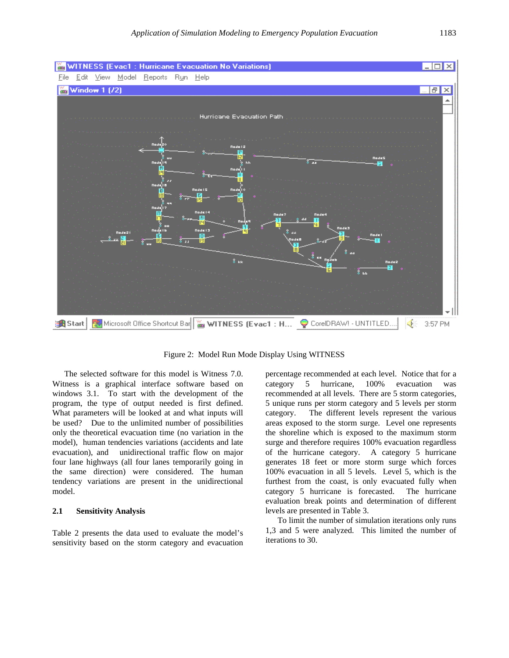

Figure 2: Model Run Mode Display Using WITNESS

The selected software for this model is Witness 7.0. Witness is a graphical interface software based on windows 3.1. To start with the development of the program, the type of output needed is first defined. What parameters will be looked at and what inputs will be used? Due to the unlimited number of possibilities only the theoretical evacuation time (no variation in the model), human tendencies variations (accidents and late evacuation), and unidirectional traffic flow on major four lane highways (all four lanes temporarily going in the same direction) were considered. The human tendency variations are present in the unidirectional model.

# **2.1 Sensitivity Analysis**

Table 2 presents the data used to evaluate the model's sensitivity based on the storm category and evacuation percentage recommended at each level. Notice that for a category 5 hurricane, 100% evacuation was recommended at all levels. There are 5 storm categories, 5 unique runs per storm category and 5 levels per storm category. The different levels represent the various areas exposed to the storm surge. Level one represents the shoreline which is exposed to the maximum storm surge and therefore requires 100% evacuation regardless of the hurricane category. A category 5 hurricane generates 18 feet or more storm surge which forces 100% evacuation in all 5 levels. Level 5, which is the furthest from the coast, is only evacuated fully when category 5 hurricane is forecasted. The hurricane evaluation break points and determination of different levels are presented in Table 3.

To limit the number of simulation iterations only runs 1,3 and 5 were analyzed. This limited the number of iterations to 30.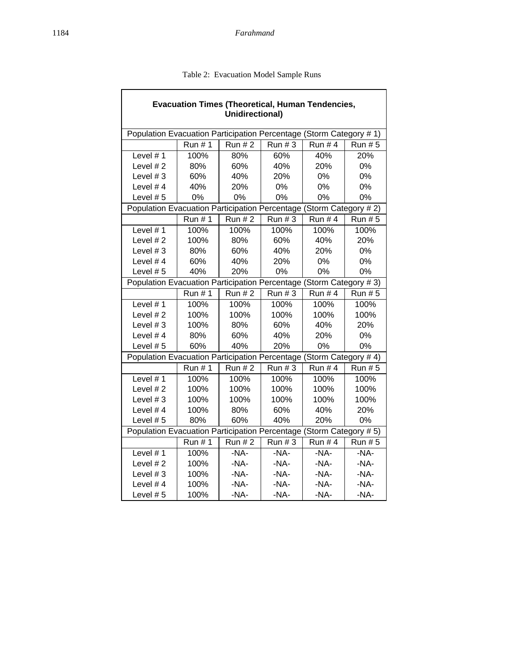| <b>Evacuation Times (Theoretical, Human Tendencies,</b><br><b>Unidirectional)</b> |               |               |                  |               |               |  |  |  |  |
|-----------------------------------------------------------------------------------|---------------|---------------|------------------|---------------|---------------|--|--|--|--|
| Population Evacuation Participation Percentage (Storm Category # 1)               |               |               |                  |               |               |  |  |  |  |
|                                                                                   | <b>Run #1</b> | <b>Run #2</b> | Run#3            | <b>Run #4</b> | <b>Run #5</b> |  |  |  |  |
| Level $# 1$                                                                       | 100%          | 80%           | 60%              | 40%           | 20%           |  |  |  |  |
| Level #2                                                                          | 80%           | 60%           | 40%              | 20%           | 0%            |  |  |  |  |
| Level $# 3$                                                                       | 60%           | 40%           | 20%              | 0%            | 0%            |  |  |  |  |
| Level #4                                                                          | 40%           | 20%           | 0%               | 0%            | 0%            |  |  |  |  |
| Level $# 5$                                                                       | 0%            |               | 0%<br>0%         |               | 0%            |  |  |  |  |
| Population Evacuation Participation Percentage (Storm Category # 2)               |               |               |                  |               |               |  |  |  |  |
|                                                                                   | <b>Run #1</b> | <b>Run #2</b> | <b>Run #3</b>    | <b>Run #4</b> | <b>Run #5</b> |  |  |  |  |
| Level #1                                                                          | 100%          |               | 100%             | 100%          | 100%          |  |  |  |  |
| Level #2                                                                          | 100%          |               | 60%              | 40%           | 20%           |  |  |  |  |
| Level $#3$                                                                        | 80%           |               | 40%              | 20%           | 0%            |  |  |  |  |
| Level #4                                                                          | 60%           |               | 20%              | 0%            | 0%            |  |  |  |  |
| 40%<br>Level #5                                                                   |               | 0%<br>20%     |                  | 0%            | 0%            |  |  |  |  |
| Population Evacuation Participation Percentage (Storm Category # 3)               |               |               |                  |               |               |  |  |  |  |
|                                                                                   | <b>Run #1</b> | <b>Run #2</b> | Run # 3          | <b>Run #4</b> | <b>Run #5</b> |  |  |  |  |
| Level #1                                                                          | 100%          |               | 100%             | 100%          | 100%          |  |  |  |  |
| Level #2                                                                          | 100%          | 100%          | 100%             | 100%          | 100%          |  |  |  |  |
| Level $#3$                                                                        | 100%          | 80%           | 60%              | 40%           | 20%           |  |  |  |  |
| Level #4                                                                          | 80%           |               | 40%              | 20%           | 0%            |  |  |  |  |
| Level #5                                                                          | 60%           |               | 0%<br>40%<br>20% |               | 0%            |  |  |  |  |
| Population Evacuation Participation Percentage (Storm Category # 4)               |               |               |                  |               |               |  |  |  |  |
|                                                                                   | <b>Run #1</b> | <b>Run #2</b> | <b>Run #3</b>    | <b>Run #4</b> | <b>Run #5</b> |  |  |  |  |
| Level #1                                                                          | 100%          | 100%          | 100%             | 100%          | 100%          |  |  |  |  |
| Level #2                                                                          | 100%          |               | 100%             | 100%          | 100%          |  |  |  |  |
| Level $#3$                                                                        | 100%          |               | 100%<br>100%     |               | 100%          |  |  |  |  |
| Level #4                                                                          | 100%          |               | 80%<br>60%       |               | 20%           |  |  |  |  |
| Level #5                                                                          | 80%           |               | 60%<br>40%       |               | 0%            |  |  |  |  |
| Population Evacuation Participation Percentage (Storm Category # 5)               |               |               |                  |               |               |  |  |  |  |
|                                                                                   | <b>Run #1</b> | <b>Run #2</b> | <b>Run #3</b>    | <b>Run #4</b> | <b>Run #5</b> |  |  |  |  |
| Level #1                                                                          | 100%          | -NA-          | -NA-             | $-NA-$        | -NA-          |  |  |  |  |
| Level #2                                                                          | 100%          | -NA-          | -NA-             | $-NA-$        | -NA-          |  |  |  |  |
| Level $#3$                                                                        | 100%          |               | -NA-             | $-NA-$        | $-NA-$        |  |  |  |  |
| Level #4<br>100%                                                                  |               | -NA-          | $-NA-$           | $-NA-$        | -NA-          |  |  |  |  |
| 100%<br>Level #5                                                                  |               | -NA-          | -NA-             | $-NA-$        | $-NA-$        |  |  |  |  |

Table 2: Evacuation Model Sample Runs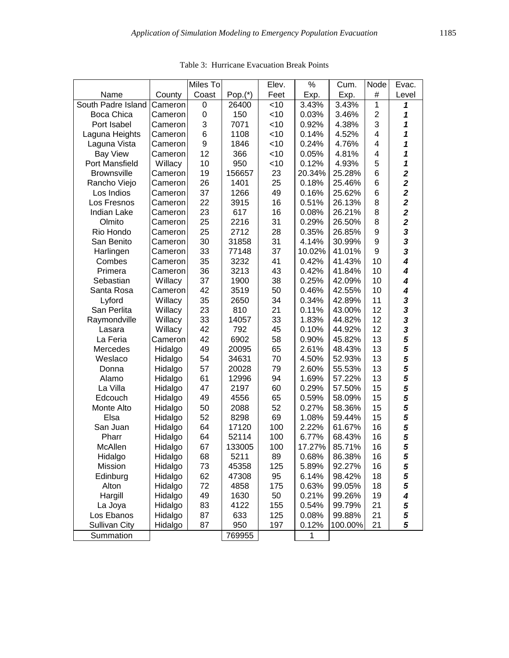|                      |         | Miles To |           | Elev.  | $\%$   | Cum.    | Node           | Evac.                   |
|----------------------|---------|----------|-----------|--------|--------|---------|----------------|-------------------------|
| Name                 | County  | Coast    | $Pop.(*)$ | Feet   | Exp.   | Exp.    | #              | Level                   |
| South Padre Island   | Cameron | 0        | 26400     | $<$ 10 | 3.43%  | 3.43%   | 1              | 1                       |
| Boca Chica           | Cameron | 0        | 150       | <10    | 0.03%  | 3.46%   | $\overline{2}$ | 1                       |
| Port Isabel          | Cameron | 3        | 7071      | <10    | 0.92%  | 4.38%   | 3              | 1                       |
| Laguna Heights       | Cameron | 6        | 1108      | $<$ 10 | 0.14%  | 4.52%   | 4              | 1                       |
| Laguna Vista         | Cameron | 9        | 1846      | $<$ 10 | 0.24%  | 4.76%   | 4              | 1                       |
| <b>Bay View</b>      | Cameron | 12       | 366       | $<$ 10 | 0.05%  | 4.81%   | 4              | 1                       |
| Port Mansfield       | Willacy | 10       | 950       | $<$ 10 | 0.12%  | 4.93%   | 5              | 1                       |
| <b>Brownsville</b>   | Cameron | 19       | 156657    | 23     | 20.34% | 25.28%  | 6              | $\overline{\mathbf{2}}$ |
| Rancho Viejo         | Cameron | 26       | 1401      | 25     | 0.18%  | 25.46%  | 6              | $\overline{\mathbf{2}}$ |
| Los Indios           | Cameron | 37       | 1266      | 49     | 0.16%  | 25.62%  | 6              | $\overline{\mathbf{2}}$ |
| Los Fresnos          | Cameron | 22       | 3915      | 16     | 0.51%  | 26.13%  | 8              | $\overline{\mathbf{2}}$ |
| <b>Indian Lake</b>   | Cameron | 23       | 617       | 16     | 0.08%  | 26.21%  | 8              | $\overline{\mathbf{2}}$ |
| Olmito               | Cameron | 25       | 2216      | 31     | 0.29%  | 26.50%  | 8              | $\overline{\mathbf{2}}$ |
| Rio Hondo            | Cameron | 25       | 2712      | 28     | 0.35%  | 26.85%  | 9              | 3                       |
| San Benito           | Cameron | 30       | 31858     | 31     | 4.14%  | 30.99%  | 9              | $\overline{\mathbf{3}}$ |
| Harlingen            | Cameron | 33       | 77148     | 37     | 10.02% | 41.01%  | 9              | $\overline{\mathbf{3}}$ |
| Combes               | Cameron | 35       | 3232      | 41     | 0.42%  | 41.43%  | 10             | $\overline{\mathbf{4}}$ |
| Primera              | Cameron | 36       | 3213      | 43     | 0.42%  | 41.84%  | 10             | $\boldsymbol{4}$        |
| Sebastian            | Willacy | 37       | 1900      | 38     | 0.25%  | 42.09%  | 10             | $\overline{\mathbf{4}}$ |
| Santa Rosa           | Cameron | 42       | 3519      | 50     | 0.46%  | 42.55%  | 10             | $\overline{\mathbf{4}}$ |
| Lyford               | Willacy | 35       | 2650      | 34     | 0.34%  | 42.89%  | 11             | 3                       |
| San Perlita          | Willacy | 23       | 810       | 21     | 0.11%  | 43.00%  | 12             | 3                       |
| Raymondville         | Willacy | 33       | 14057     | 33     | 1.83%  | 44.82%  | 12             | 3                       |
| Lasara               | Willacy | 42       | 792       | 45     | 0.10%  | 44.92%  | 12             | 3                       |
| La Feria             | Cameron | 42       | 6902      | 58     | 0.90%  | 45.82%  | 13             | 5                       |
| Mercedes             | Hidalgo | 49       | 20095     | 65     | 2.61%  | 48.43%  | 13             | 5                       |
| Weslaco              | Hidalgo | 54       | 34631     | 70     | 4.50%  | 52.93%  | 13             | 5                       |
| Donna                | Hidalgo | 57       | 20028     | 79     | 2.60%  | 55.53%  | 13             | 5                       |
| Alamo                | Hidalgo | 61       | 12996     | 94     | 1.69%  | 57.22%  | 13             | 5                       |
| La Villa             | Hidalgo | 47       | 2197      | 60     | 0.29%  | 57.50%  | 15             | 5                       |
| Edcouch              | Hidalgo | 49       | 4556      | 65     | 0.59%  | 58.09%  | 15             | 5                       |
| Monte Alto           | Hidalgo | 50       | 2088      | 52     | 0.27%  | 58.36%  | 15             | 5                       |
| Elsa                 | Hidalgo | 52       | 8298      | 69     | 1.08%  | 59.44%  | 15             | 5                       |
| San Juan             | Hidalgo | 64       | 17120     | 100    | 2.22%  | 61.67%  | 16             | 5                       |
| Pharr                | Hidalgo | 64       | 52114     | 100    | 6.77%  | 68.43%  | 16             | 5                       |
| McAllen              | Hidalgo | 67       | 133005    | 100    | 17.27% | 85.71%  | 16             | 5                       |
| Hidalgo              | Hidalgo | 68       | 5211      | 89     | 0.68%  | 86.38%  | 16             | 5                       |
| Mission              | Hidalgo | 73       | 45358     | 125    | 5.89%  | 92.27%  | 16             | 5                       |
| Edinburg             | Hidalgo | 62       | 47308     | 95     | 6.14%  | 98.42%  | 18             | 5                       |
| Alton                | Hidalgo | 72       | 4858      | 175    | 0.63%  | 99.05%  | 18             | 5                       |
| Hargill              | Hidalgo | 49       | 1630      | 50     | 0.21%  | 99.26%  | 19             | 4                       |
| La Joya              | Hidalgo | 83       | 4122      | 155    | 0.54%  | 99.79%  | 21             | 5                       |
| Los Ebanos           | Hidalgo | 87       | 633       | 125    | 0.08%  | 99.88%  | 21             | 5                       |
| <b>Sullivan City</b> | Hidalgo | 87       | 950       | 197    | 0.12%  | 100.00% | 21             | 5                       |
| Summation            |         |          | 769955    |        | 1      |         |                |                         |

Table 3: Hurricane Evacuation Break Points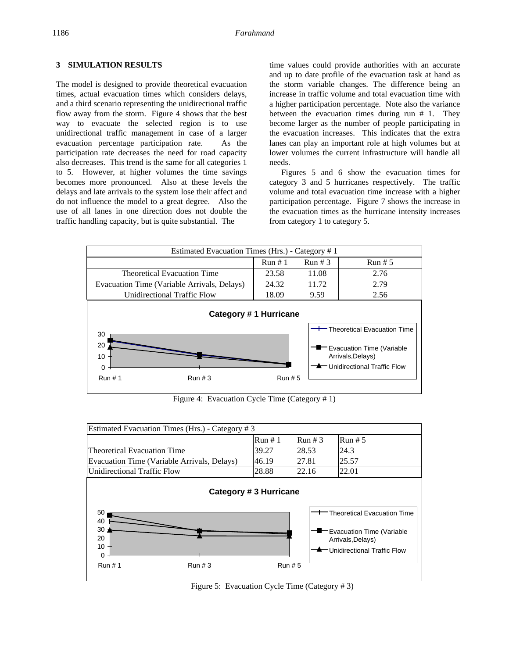# **3 SIMULATION RESULTS**

The model is designed to provide theoretical evacuation times, actual evacuation times which considers delays, and a third scenario representing the unidirectional traffic flow away from the storm. Figure 4 shows that the best way to evacuate the selected region is to use unidirectional traffic management in case of a larger evacuation percentage participation rate. As the participation rate decreases the need for road capacity also decreases. This trend is the same for all categories 1 to 5. However, at higher volumes the time savings becomes more pronounced. Also at these levels the delays and late arrivals to the system lose their affect and do not influence the model to a great degree. Also the use of all lanes in one direction does not double the traffic handling capacity, but is quite substantial. The

time values could provide authorities with an accurate and up to date profile of the evacuation task at hand as the storm variable changes. The difference being an increase in traffic volume and total evacuation time with a higher participation percentage. Note also the variance between the evacuation times during run # 1. They become larger as the number of people participating in the evacuation increases. This indicates that the extra lanes can play an important role at high volumes but at lower volumes the current infrastructure will handle all needs.

Figures 5 and 6 show the evacuation times for category 3 and 5 hurricanes respectively. The traffic volume and total evacuation time increase with a higher participation percentage. Figure 7 shows the increase in the evacuation times as the hurricane intensity increases from category 1 to category 5.



Figure 4: Evacuation Cycle Time (Category # 1)



Figure 5: Evacuation Cycle Time (Category # 3)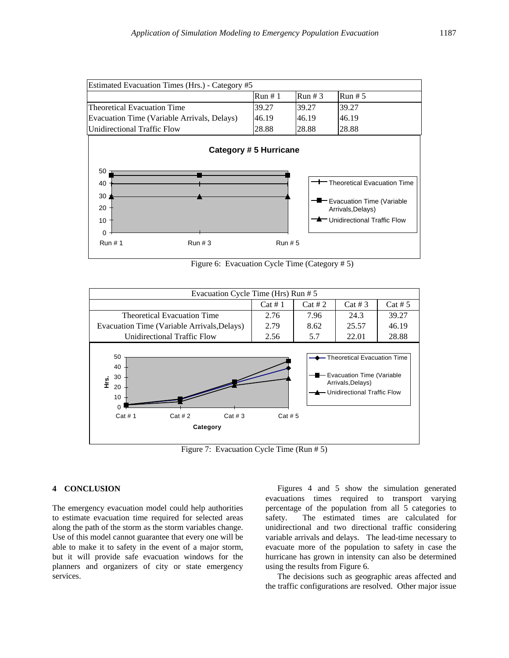



Figure 6: Evacuation Cycle Time (Category # 5)



Figure 7: Evacuation Cycle Time (Run # 5)

#### **4 CONCLUSION**

The emergency evacuation model could help authorities to estimate evacuation time required for selected areas along the path of the storm as the storm variables change. Use of this model cannot guarantee that every one will be able to make it to safety in the event of a major storm, but it will provide safe evacuation windows for the planners and organizers of city or state emergency services.

Figures 4 and 5 show the simulation generated evacuations times required to transport varying percentage of the population from all 5 categories to safety. The estimated times are calculated for unidirectional and two directional traffic considering variable arrivals and delays. The lead-time necessary to evacuate more of the population to safety in case the hurricane has grown in intensity can also be determined using the results from Figure 6.

The decisions such as geographic areas affected and the traffic configurations are resolved. Other major issue